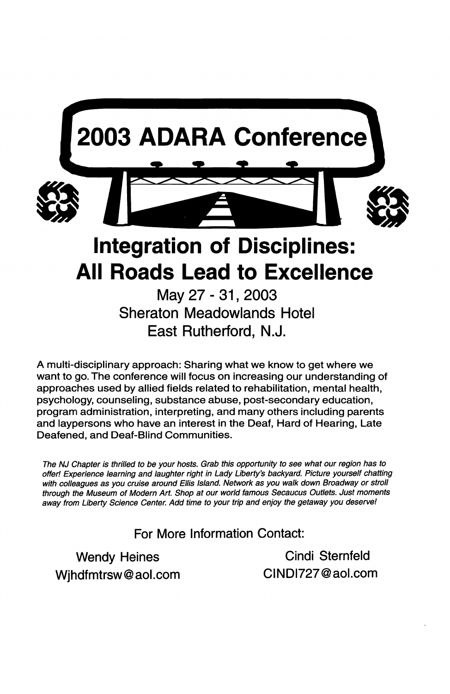

May27-31,2003 Sheraton Meadowlands Hotel East Rutherford, N.J.

A multi-disciplinary approach: Sharing what we know to get where we want to go. The conference will focus on increasing our understanding of approaches used by allied fields related to rehabilitation, mental health, psychology, counseling, substance abuse, post-secondary education, program administration, interpreting, and many others including parents and laypersons who have an interest in the Deaf, Hard of Hearing, Late Deafened, and Deaf-Blind Communities.

The NJ Chapter is thrilled to be your hosts. Grab this opportunity to see what our region has to offer! Experience learning and laughter right in Lady Liberty's backyard. Picture yourself chatting with colleagues as you cruise around Ellis Island. Network as you walk down Broadway or stroll through the Museum of Modern Art. Shop at our world famous Secaucus Outlets. Just moments away from Liberty Science Center. Add time to your trip and enjoy the getaway you deserve!

For More Information Contact:

Wjhdfmtrsw@aol.com CINDI727@aol.com

Wendy Heines Cindi Sternfeld